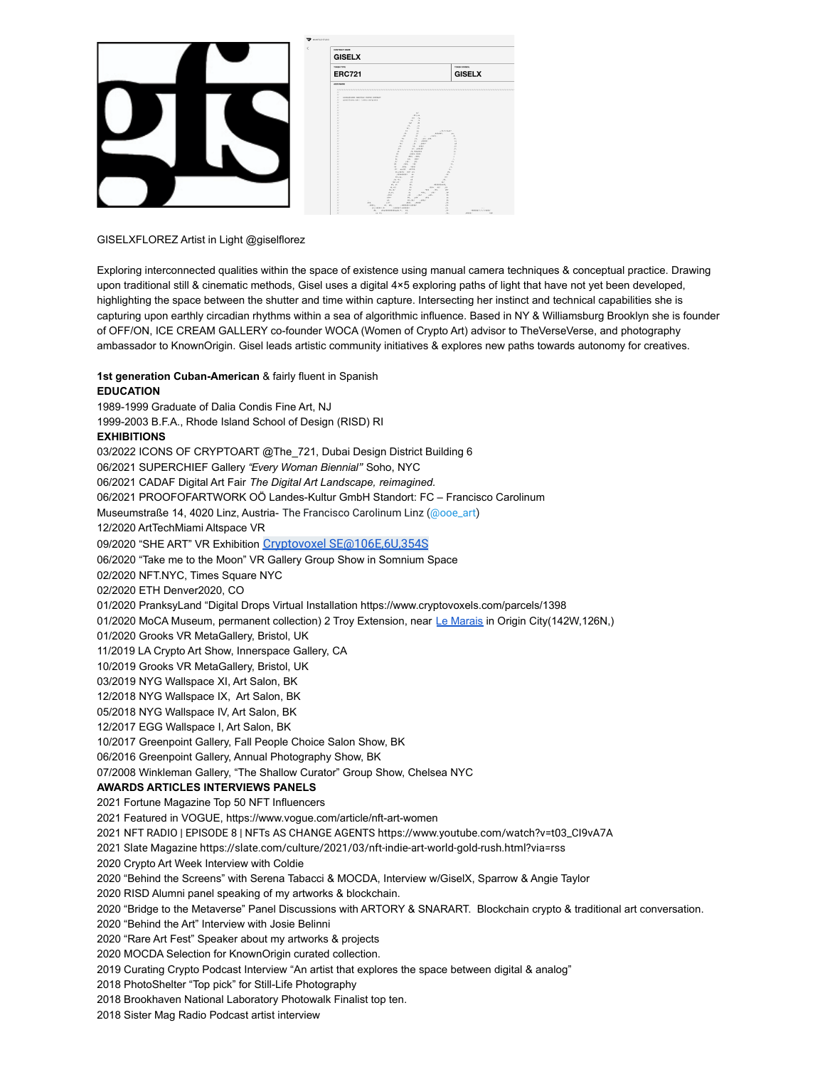

## GISELXFLOREZ Artist in Light @giselflorez

Exploring interconnected qualities within the space of existence using manual camera techniques & conceptual practice. Drawing upon traditional still & cinematic methods, Gisel uses a digital 4×5 exploring paths of light that have not yet been developed, highlighting the space between the shutter and time within capture. Intersecting her instinct and technical capabilities she is capturing upon earthly circadian rhythms within a sea of algorithmic influence. Based in NY & Williamsburg Brooklyn she is founder of OFF/ON, ICE CREAM GALLERY co-founder WOCA (Women of Crypto Art) advisor to TheVerseVerse, and photography ambassador to KnownOrigin. Gisel leads artistic community initiatives & explores new paths towards autonomy for creatives.

## **1st generation Cuban-American** & fairly fluent in Spanish **EDUCATION** 1989-1999 Graduate of Dalia Condis Fine Art, NJ 1999-2003 B.F.A., Rhode Island School of Design (RISD) RI **EXHIBITIONS** 03/2022 ICONS OF CRYPTOART @The 721, Dubai Design District Building 6 06/2021 SUPERCHIEF Gallery *"Every Woman Biennial"* Soho, NYC 06/2021 CADAF Digital Art Fair *The Digital Art Landscape, reimagined.* 06/2021 PROOFOFARTWORK OÖ Landes-Kultur GmbH Standort: FC – Francisco Carolinum Museumstraße 14, 4020 Linz, Austria- The Francisco Carolinum Linz [\(@ooe\\_art](https://twitter.com/ooe_art)) 12/2020 ArtTechMiami Altspace VR 09/2020 "SHE ART" VR Exhibition [Cryptovoxel SE@106E,6U,354S](https://t.co/rkf6cAsKuG?amp=1) 06/2020 "Take me to the Moon" VR Gallery Group Show in Somnium Space 02/2020 NFT.NYC, Times Square NYC 02/2020 ETH Denver2020, CO 01/2020 PranksyLand "Digital Drops Virtual Installation https://www.cryptovoxels.com/parcels/1398 01/2020 MoCA Museum, permanent collection) 2 Troy Extension, near Le [Marais](https://www.cryptovoxels.com/neighborhoods/le-marais) in Origin City(142W,126N,) 01/2020 Grooks VR MetaGallery, Bristol, UK 11/2019 LA Crypto Art Show, Innerspace Gallery, CA 10/2019 Grooks VR MetaGallery, Bristol, UK 03/2019 NYG Wallspace XI, Art Salon, BK 12/2018 NYG Wallspace IX, Art Salon, BK 05/2018 NYG Wallspace IV, Art Salon, BK 12/2017 EGG Wallspace I, Art Salon, BK 10/2017 Greenpoint Gallery, Fall People Choice Salon Show, BK 06/2016 Greenpoint Gallery, Annual Photography Show, BK 07/2008 Winkleman Gallery, "The Shallow Curator" Group Show, Chelsea NYC **AWARDS ARTICLES INTERVIEWS PANELS** 2021 Fortune Magazine Top 50 NFT Influencers 2021 Featured in VOGUE, https://www.vogue.com/article/nft-art-women 2021 NFT RADIO | EPISODE 8 | NFTs AS CHANGE AGENTS https://www.youtube.com/watch?v=t03\_CI9vA7A 2021 Slate Magazine https://slate.com/culture/2021/03/nft-indie-art-world-gold-rush.html?via=rss 2020 Crypto Art Week Interview with Coldie 2020 "Behind the Screens" with Serena Tabacci & MOCDA, Interview w/GiselX, Sparrow & Angie Taylor 2020 RISD Alumni panel speaking of my artworks & blockchain. 2020 "Bridge to the Metaverse" Panel Discussions with ARTORY & SNARART. Blockchain crypto & traditional art conversation. 2020 "Behind the Art" Interview with Josie Belinni 2020 "Rare Art Fest" Speaker about my artworks & projects 2020 MOCDA Selection for KnownOrigin curated collection. 2019 Curating Crypto Podcast Interview "An artist that explores the space between digital & analog" 2018 PhotoShelter "Top pick" for Still-Life Photography 2018 Brookhaven National Laboratory Photowalk Finalist top ten. 2018 Sister Mag Radio Podcast artist interview